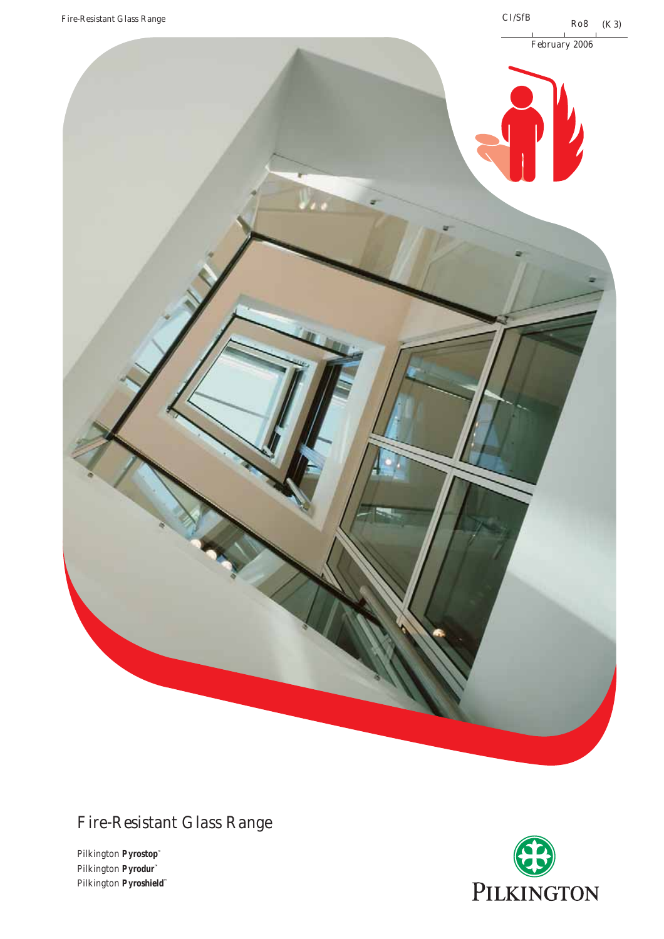

# Fire-Resistant Glass Range

Pilkington **Pyrostop™** Pilkington **Pyrodur™** Pilkington **Pyroshield™**

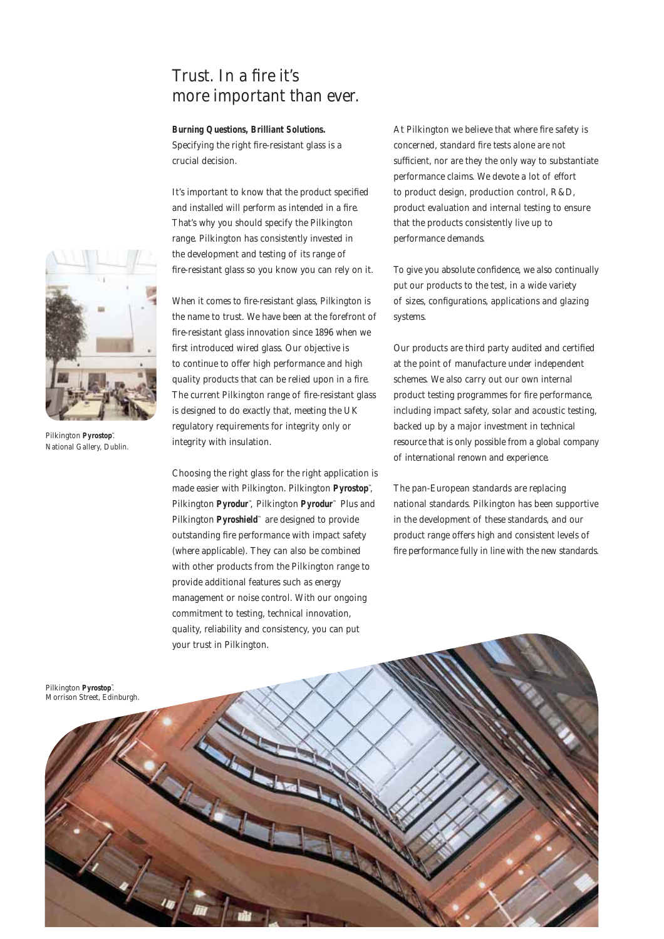### Trust. In a fire it's more important than ever.

#### **Burning Questions, Brilliant Solutions.**

Specifying the right fire-resistant glass is a crucial decision.

It's important to know that the product specified and installed will perform as intended in a fire. That's why you should specify the Pilkington range. Pilkington has consistently invested in the development and testing of its range of fire-resistant glass so you know you can rely on it.

When it comes to fire-resistant glass, Pilkington is the name to trust. We have been at the forefront of fire-resistant glass innovation since 1896 when we first introduced wired glass. Our objective is to continue to offer high performance and high quality products that can be relied upon in a fire. The current Pilkington range of fire-resistant glass is designed to do exactly that, meeting the UK regulatory requirements for integrity only or integrity with insulation.

Choosing the right glass for the right application is made easier with Pilkington. Pilkington **Pyrostop™**, Pilkington **Pyrodur™**, Pilkington **Pyrodur™** Plus and Pilkington **Pyroshield™** are designed to provide outstanding fire performance with impact safety (where applicable). They can also be combined with other products from the Pilkington range to provide additional features such as energy management or noise control. With our ongoing commitment to testing, technical innovation, quality, reliability and consistency, you can put your trust in Pilkington.

At Pilkington we believe that where fire safety is concerned, standard fire tests alone are not sufficient, nor are they the only way to substantiate performance claims. We devote a lot of effort to product design, production control, R&D, product evaluation and internal testing to ensure that the products consistently live up to performance demands.

To give you absolute confidence, we also continually put our products to the test, in a wide variety of sizes, configurations, applications and glazing systems.

Our products are third party audited and certified at the point of manufacture under independent schemes. We also carry out our own internal product testing programmes for fire performance, including impact safety, solar and acoustic testing, backed up by a major investment in technical resource that is only possible from a global company of international renown and experience.

The pan-European standards are replacing national standards. Pilkington has been supportive in the development of these standards, and our product range offers high and consistent levels of fire performance fully in line with the new standards.





Pilkington **Pyrostop**". National Gallery, Dublin.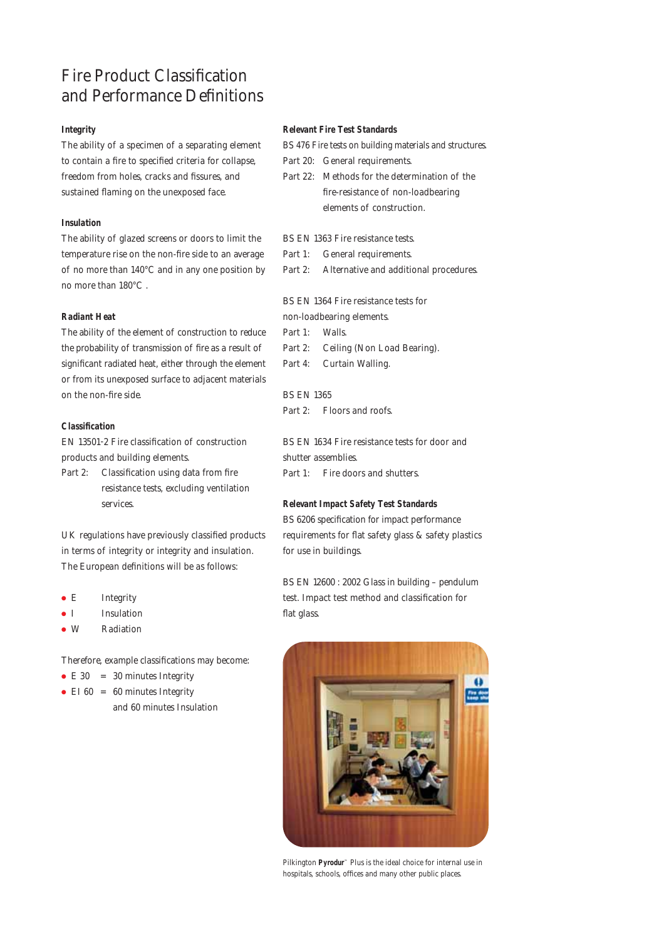## Fire Product Classification and Performance Definitions

#### **Integrity**

The ability of a specimen of a separating element to contain a fire to specified criteria for collapse, freedom from holes, cracks and fissures, and sustained flaming on the unexposed face.

#### **Insulation**

The ability of glazed screens or doors to limit the temperature rise on the non-fire side to an average of no more than 140°C and in any one position by no more than 180°C .

#### **Radiant Heat**

The ability of the element of construction to reduce the probability of transmission of fire as a result of significant radiated heat, either through the element or from its unexposed surface to adjacent materials on the non-fire side.

#### **Classification**

EN 13501-2 Fire classification of construction products and building elements.

Part 2: Classification using data from fire resistance tests, excluding ventilation services.

UK regulations have previously classified products in terms of integrity or integrity and insulation. The European definitions will be as follows:

- E Integrity
- I Insulation
- W Radiation

Therefore, example classifications may become:

and 60 minutes Insulation

• E 30 = 30 minutes Integrity

```
• EI 60 = 60 minutes Integrity
```
#### **Relevant Fire Test Standards**

BS 476 Fire tests on building materials and structures.

- Part 20: General requirements.
- Part 22: Methods for the determination of the fire-resistance of non-loadbearing elements of construction.
- BS EN 1363 Fire resistance tests.
- Part 1: General requirements.
- Part 2: Alternative and additional procedures.

BS EN 1364 Fire resistance tests for

non-loadbearing elements.

Part 1: Walls.

- Part 2: Ceiling (Non Load Bearing).
- Part 4: Curtain Walling.

BS EN 1365 Part 2: Floors and roofs.

BS EN 1634 Fire resistance tests for door and shutter assemblies. Part 1: Fire doors and shutters.

#### **Relevant Impact Safety Test Standards**

BS 6206 specification for impact performance requirements for flat safety glass & safety plastics for use in buildings.

BS EN 12600 : 2002 Glass in building – pendulum test. Impact test method and classification for flat glass.



Pilkington **Pyrodur™** Plus is the ideal choice for internal use in hospitals, schools, offices and many other public places.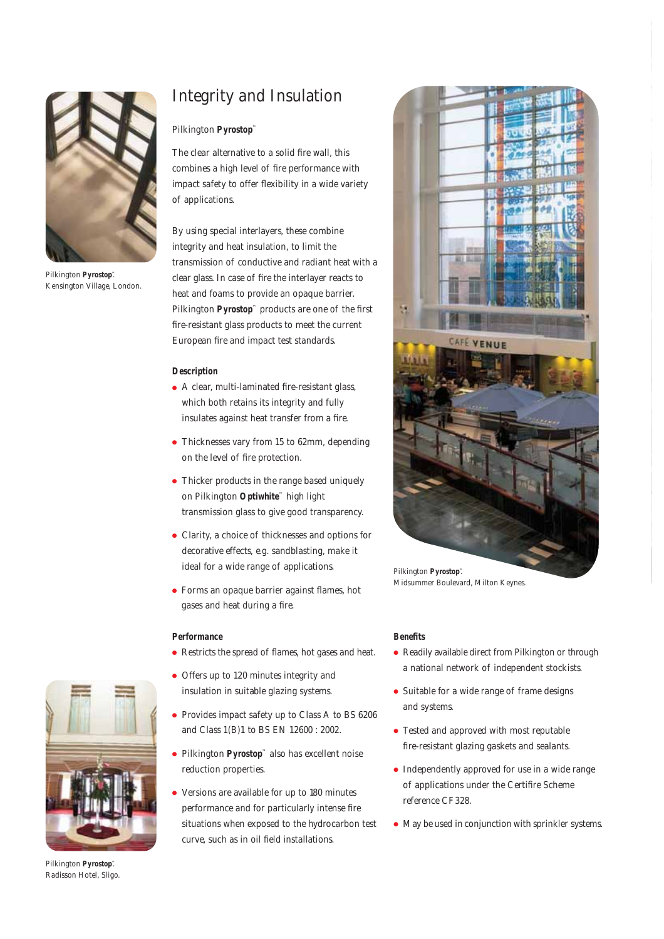

Pilkington **Pyrostop™**. Kensington Village, London.

# Integrity and Insulation

### Pilkington **Pyrostop™**

The clear alternative to a solid fire wall, this combines a high level of fire performance with impact safety to offer flexibility in a wide variety of applications.

By using special interlayers, these combine integrity and heat insulation, to limit the transmission of conductive and radiant heat with a clear glass. In case of fire the interlayer reacts to heat and foams to provide an opaque barrier. Pilkington **Pyrostop™** products are one of the first fire-resistant glass products to meet the current European fire and impact test standards.

#### **Description**

- A clear, multi-laminated fire-resistant glass, which both retains its integrity and fully insulates against heat transfer from a fire.
- Thicknesses vary from 15 to 62mm, depending on the level of fire protection.
- Thicker products in the range based uniquely on Pilkington **Optiwhite™** high light transmission glass to give good transparency.
- Clarity, a choice of thicknesses and options for decorative effects, e.g. sandblasting, make it ideal for a wide range of applications.
- Forms an opaque barrier against flames, hot gases and heat during a fire.

#### **Performance**

- Restricts the spread of flames, hot gases and heat.
- Offers up to 120 minutes integrity and insulation in suitable glazing systems.
- Provides impact safety up to Class A to BS 6206 and Class 1(B)1 to BS EN 12600 : 2002.
- Pilkington **Pyrostop™** also has excellent noise reduction properties.
- Versions are available for up to 180 minutes performance and for particularly intense fire situations when exposed to the hydrocarbon test curve, such as in oil field installations.



Pilkington **Pyrostop™**. Midsummer Boulevard, Milton Keynes.

#### **Benefits**

- Readily available direct from Pilkington or through a national network of independent stockists.
- Suitable for a wide range of frame designs and systems.
- Tested and approved with most reputable fire-resistant glazing gaskets and sealants.
- Independently approved for use in a wide range of applications under the Certifire Scheme reference CF328.
- May be used in conjunction with sprinkler systems.



Pilkington **Pyrostop™**. Radisson Hotel, Sligo.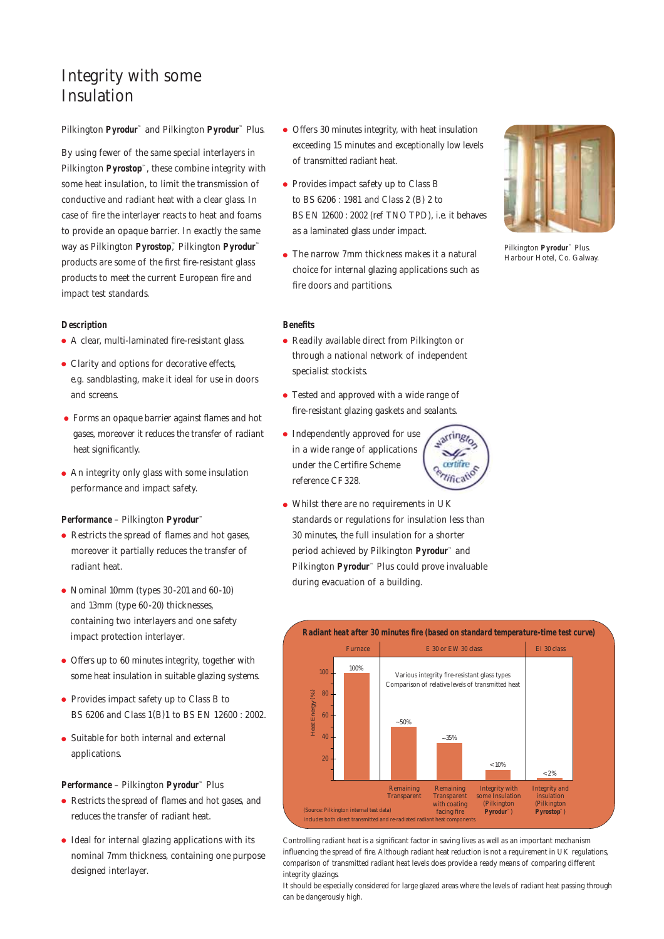### Integrity with some Insulation

#### Pilkington **Pyrodur™** and Pilkington **Pyrodur™** Plus.

By using fewer of the same special interlayers in Pilkington **Pyrostop**™, these combine integrity with some heat insulation, to limit the transmission of conductive and radiant heat with a clear glass. In case of fire the interlayer reacts to heat and foams to provide an opaque barrier. In exactly the same way as Pilkington **Pyrostop**™, Pilkington **Pyrodur™** products are some of the first fire-resistant glass products to meet the current European fire and impact test standards.

#### **Description**

- A clear, multi-laminated fire-resistant glass.
- Clarity and options for decorative effects, e.g. sandblasting, make it ideal for use in doors and screens.
- Forms an opaque barrier against flames and hot gases, moreover it reduces the transfer of radiant heat significantly.
- An integrity only glass with some insulation performance and impact safety.

#### **Performance** – Pilkington **Pyrodur™**

- Restricts the spread of flames and hot gases, moreover it partially reduces the transfer of radiant heat.
- Nominal 10mm (types 30-201 and 60-10) and 13mm (type 60-20) thicknesses, containing two interlayers and one safety impact protection interlayer.
- Offers up to 60 minutes integrity, together with some heat insulation in suitable glazing systems.
- Provides impact safety up to Class B to BS 6206 and Class 1(B)1 to BS EN 12600 : 2002.
- Suitable for both internal and external applications.

#### **Performance** – Pilkington **Pyrodur™** Plus

- Restricts the spread of flames and hot gases, and reduces the transfer of radiant heat.
- Ideal for internal glazing applications with its nominal 7mm thickness, containing one purpose designed interlayer.
- Offers 30 minutes integrity, with heat insulation exceeding 15 minutes and exceptionally low levels of transmitted radiant heat.
- Provides impact safety up to Class B to BS 6206 : 1981 and Class 2 (B) 2 to BS EN 12600 : 2002 (ref TNO TPD), i.e. it behaves as a laminated glass under impact.
- The narrow 7mm thickness makes it a natural choice for internal glazing applications such as fire doors and partitions.

#### **Benefits**

- Readily available direct from Pilkington or through a national network of independent specialist stockists.
- Tested and approved with a wide range of fire-resistant glazing gaskets and sealants.
- Independently approved for use in a wide range of applications under the Certifire Scheme reference CF328.
- Whilst there are no requirements in UK standards or regulations for insulation less than 30 minutes, the full insulation for a shorter period achieved by Pilkington **Pyrodur**™ and Pilkington **Pyrodur**™ Plus could prove invaluable during evacuation of a building.



Controlling radiant heat is a significant factor in saving lives as well as an important mechanism influencing the spread of fire. Although radiant heat reduction is not a requirement in UK regulations, comparison of transmitted radiant heat levels does provide a ready means of comparing different integrity glazings.

It should be especially considered for large glazed areas where the levels of radiant heat passing through can be dangerously high.

Pilkington **Pyrodur™** Plus. Harbour Hotel, Co. Galway.

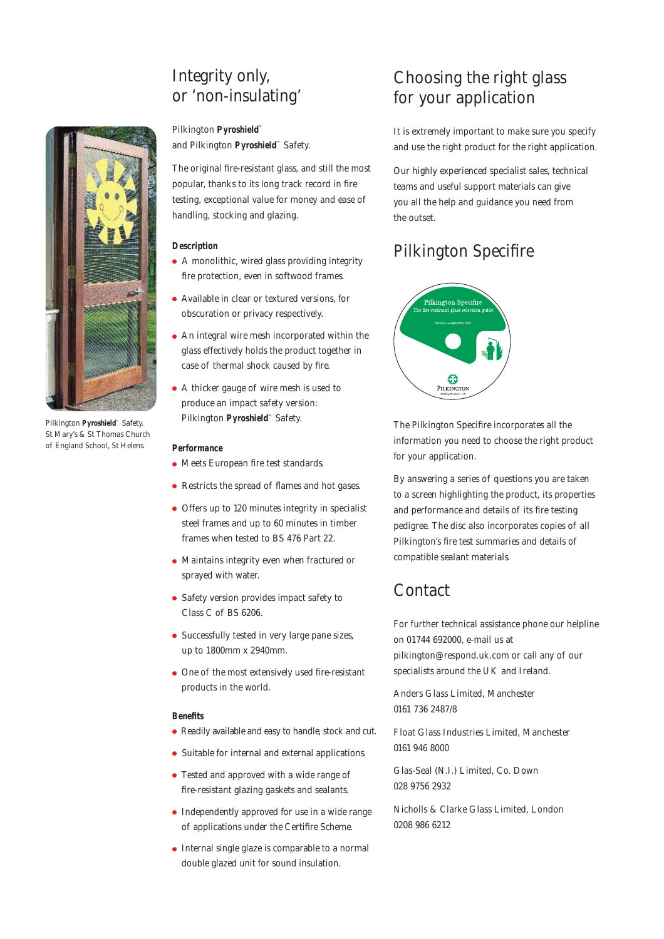### Integrity only, or 'non-insulating'



Pilkington **Pyroshield™** Safety. St Mary's & St Thomas Church of England School, St Helens.

### Pilkington **Pyroshield™**

and Pilkington **Pyroshield™** Safety.

The original fire-resistant glass, and still the most popular, thanks to its long track record in fire testing, exceptional value for money and ease of handling, stocking and glazing.

#### **Description**

- A monolithic, wired glass providing integrity fire protection, even in softwood frames.
- Available in clear or textured versions, for obscuration or privacy respectively.
- An integral wire mesh incorporated within the glass effectively holds the product together in case of thermal shock caused by fire.
- A thicker gauge of wire mesh is used to produce an impact safety version: Pilkington **Pyroshield™** Safety.

#### **Performance**

- Meets European fire test standards.
- Restricts the spread of flames and hot gases.
- Offers up to 120 minutes integrity in specialist steel frames and up to 60 minutes in timber frames when tested to BS 476 Part 22.
- Maintains integrity even when fractured or sprayed with water.
- Safety version provides impact safety to Class C of BS 6206.
- Successfully tested in very large pane sizes, up to 1800mm x 2940mm.
- One of the most extensively used fire-resistant products in the world.

#### **Benefits**

- Readily available and easy to handle, stock and cut.
- Suitable for internal and external applications.
- Tested and approved with a wide range of fire-resistant glazing gaskets and sealants.
- Independently approved for use in a wide range of applications under the Certifire Scheme.
- Internal single glaze is comparable to a normal double glazed unit for sound insulation.

# Choosing the right glass for your application

It is extremely important to make sure you specify and use the right product for the right application.

Our highly experienced specialist sales, technical teams and useful support materials can give you all the help and guidance you need from the outset.

# Pilkington Specifire



The Pilkington Specifire incorporates all the information you need to choose the right product for your application.

By answering a series of questions you are taken to a screen highlighting the product, its properties and performance and details of its fire testing pedigree. The disc also incorporates copies of all Pilkington's fire test summaries and details of compatible sealant materials.

### Contact

For further technical assistance phone our helpline on 01744 692000, e-mail us at pilkington@respond.uk.com or call any of our specialists around the UK and Ireland.

Anders Glass Limited, Manchester 0161 736 2487/8

Float Glass Industries Limited, Manchester 0161 946 8000

Glas-Seal (N.I.) Limited, Co. Down 028 9756 2932

Nicholls & Clarke Glass Limited, London 0208 986 6212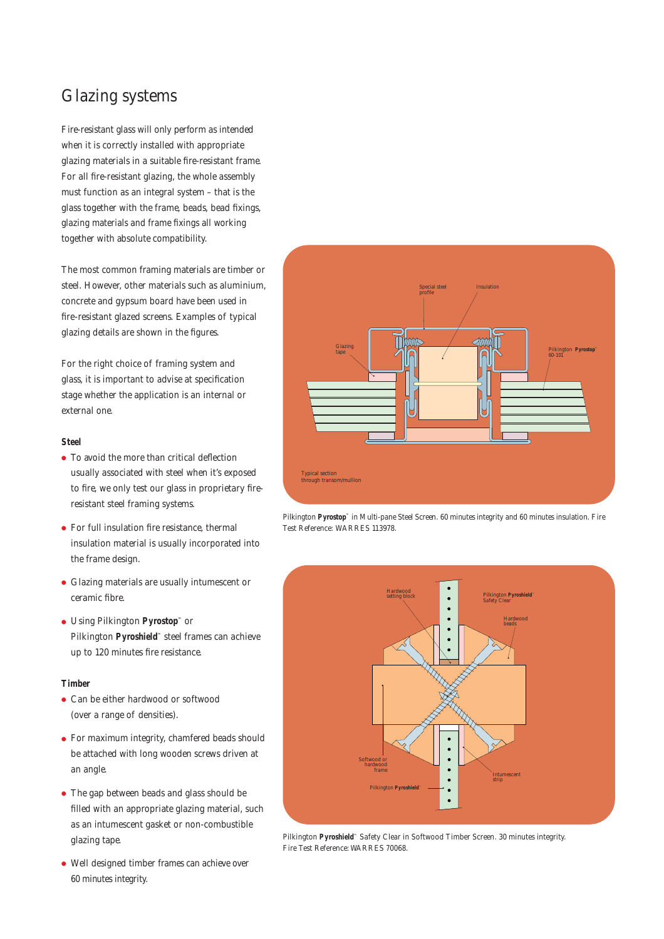### Glazing systems

Fire-resistant glass will only perform as intended when it is correctly installed with appropriate glazing materials in a suitable fire-resistant frame. For all fire-resistant glazing, the whole assembly must function as an integral system – that is the glass together with the frame, beads, bead fixings, glazing materials and frame fixings all working together with absolute compatibility.

The most common framing materials are timber or steel. However, other materials such as aluminium, concrete and gypsum board have been used in fire-resistant glazed screens. Examples of typical glazing details are shown in the figures.

For the right choice of framing system and glass, it is important to advise at specification stage whether the application is an internal or external one.

#### **Steel**

- To avoid the more than critical deflection usually associated with steel when it's exposed to fire, we only test our glass in proprietary fireresistant steel framing systems.
- For full insulation fire resistance, thermal insulation material is usually incorporated into the frame design.
- Glazing materials are usually intumescent or ceramic fibre.
- Using Pilkington **Pyrostop™** or Pilkington **Pyroshield™** steel frames can achieve up to 120 minutes fire resistance.

#### **Timber**

- Can be either hardwood or softwood (over a range of densities).
- For maximum integrity, chamfered beads should be attached with long wooden screws driven at an angle.
- The gap between beads and glass should be filled with an appropriate glazing material, such as an intumescent gasket or non-combustible glazing tape.
- Well designed timber frames can achieve over 60 minutes integrity.



Pilkington **Pyrostop™** in Multi-pane Steel Screen. 60 minutes integrity and 60 minutes insulation. Fire Test Reference: WARRES 113978.



Pilkington **Pyroshield™** Safety Clear in Softwood Timber Screen. 30 minutes integrity. Fire Test Reference: WARRES 70068.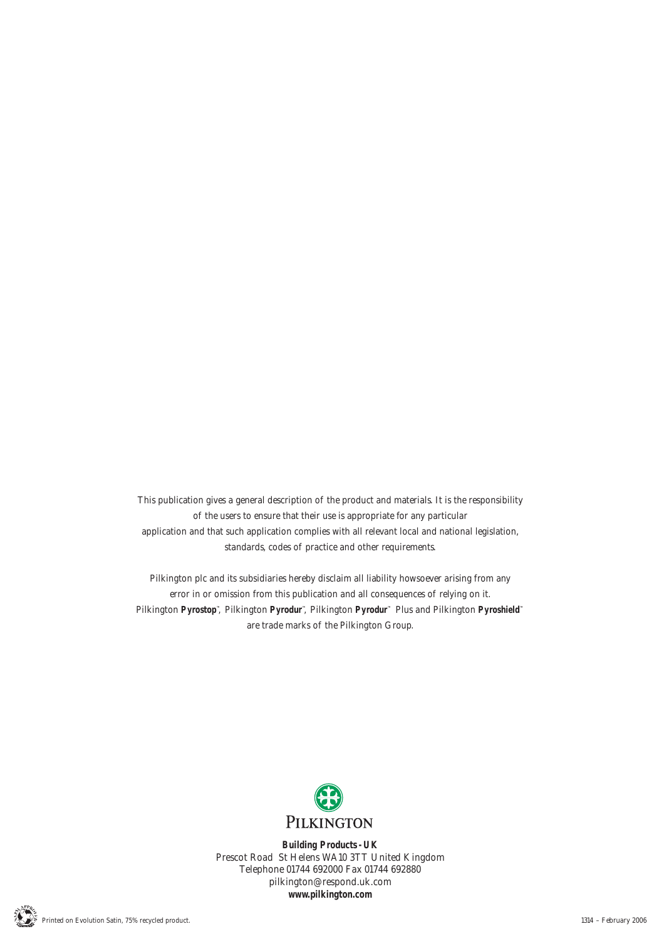This publication gives a general description of the product and materials. It is the responsibility of the users to ensure that their use is appropriate for any particular application and that such application complies with all relevant local and national legislation, standards, codes of practice and other requirements.

Pilkington plc and its subsidiaries hereby disclaim all liability howsoever arising from any error in or omission from this publication and all consequences of relying on it. Pilkington **Pyrostop™**, Pilkington **Pyrodur™**, Pilkington **Pyrodur™** Plus and Pilkington **Pyroshield™** are trade marks of the Pilkington Group.



**Building Products - UK** Prescot Road St Helens WA10 3TT United Kingdom Telephone 01744 692000 Fax 01744 692880 pilkington@respond.uk.com **www.pilkington.com**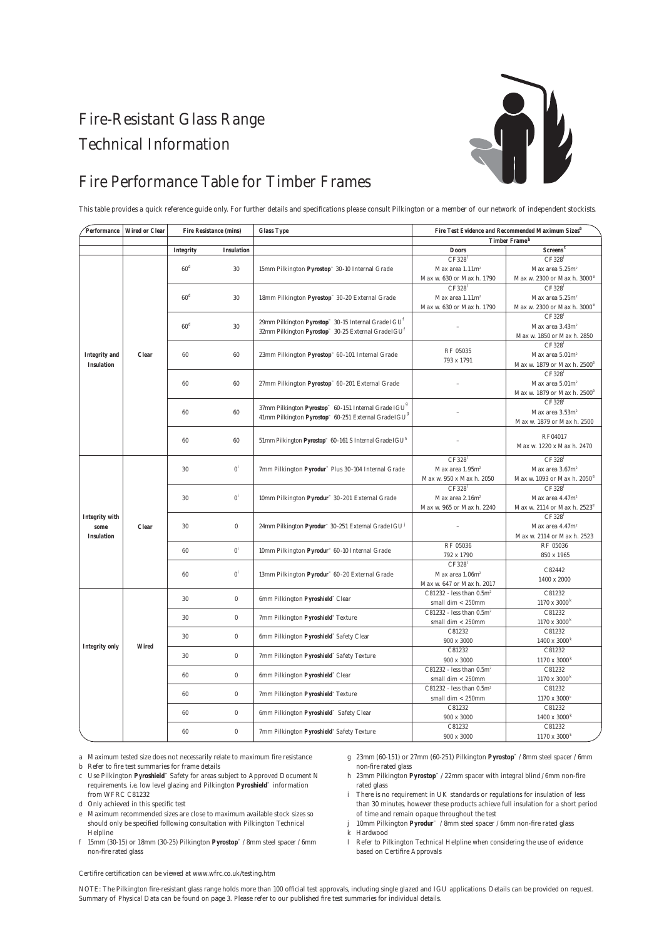# Fire-Resistant Glass Range Technical Information



### Fire Performance Table for Timber Frames

This table provides a quick reference guide only. For further details and specifications please consult Pilkington or a member of our network of independent stockists.

| Performance           | <b>Wired or Clear</b> | <b>Fire Resistance (mins)</b> |                                                                              | <b>Glass Type</b>                                                             | Fire Test Evidence and Recommended Maximum Sizes <sup>a</sup> |                                         |  |
|-----------------------|-----------------------|-------------------------------|------------------------------------------------------------------------------|-------------------------------------------------------------------------------|---------------------------------------------------------------|-----------------------------------------|--|
|                       |                       |                               |                                                                              |                                                                               |                                                               | <b>Timber Frameb</b>                    |  |
|                       |                       | <b>Integrity</b>              | <b>Insulation</b>                                                            |                                                                               | <b>Doors</b>                                                  | Screens <sup>c</sup>                    |  |
|                       |                       |                               |                                                                              |                                                                               | CF328                                                         | CF328 <sup>1</sup>                      |  |
|                       |                       | 60 <sup>d</sup>               | 30                                                                           | 15mm Pilkington Pyrostop™ 30-10 Internal Grade                                | Max area 1.11m <sup>2</sup>                                   | Max area 5.25m <sup>2</sup>             |  |
|                       |                       |                               |                                                                              |                                                                               | Max w. 630 or Max h. 1790                                     | Max w. 2300 or Max h. 3000 <sup>e</sup> |  |
|                       |                       |                               |                                                                              |                                                                               | CF328                                                         | CF328 <sup>1</sup>                      |  |
|                       |                       | 60 <sup>d</sup>               | 30                                                                           | 18mm Pilkington Pyrostop" 30-20 External Grade                                | Max area $1.11$ m <sup>2</sup>                                | Max area 5.25m <sup>2</sup>             |  |
|                       |                       |                               |                                                                              |                                                                               | Max w. 630 or Max h. 1790                                     | Max w. 2300 or Max h. 3000 <sup>e</sup> |  |
|                       |                       | 60 <sup>d</sup><br>30         |                                                                              | 29mm Pilkington Pyrostop <sup>®</sup> 30-15 Internal Grade IGU <sup>1</sup>   |                                                               | CF328                                   |  |
|                       |                       |                               |                                                                              | 32mm Pilkington Pyrostop <sup>™</sup> 30-25 External Grade IGU <sup>f</sup>   |                                                               | Max area 3.43m <sup>2</sup>             |  |
|                       |                       |                               |                                                                              |                                                                               |                                                               | Max w. 1850 or Max h. 2850              |  |
|                       |                       | 60<br>60                      |                                                                              |                                                                               | <b>RF 05035</b>                                               | CF328 <sup>1</sup>                      |  |
| <b>Integrity</b> and  | <b>Clear</b>          |                               |                                                                              | 23mm Pilkington Pyrostop™ 60-101 Internal Grade                               | 793 x 1791                                                    | Max area 5.01m <sup>2</sup>             |  |
| <b>Insulation</b>     |                       |                               |                                                                              |                                                                               |                                                               | Max w. 1879 or Max h. 2500'             |  |
|                       |                       |                               |                                                                              |                                                                               |                                                               | CF328 <sup>1</sup>                      |  |
|                       |                       | 60                            | 60                                                                           | 27mm Pilkington Pyrostop <sup>®</sup> 60-201 External Grade                   |                                                               | Max area 5.01m <sup>2</sup>             |  |
|                       |                       |                               |                                                                              |                                                                               |                                                               | Max w. 1879 or Max h. 2500              |  |
|                       |                       |                               | 60                                                                           | 37mm Pilkington Pyrostop" 60-151 Internal Grade IGU <sup>8</sup>              |                                                               | CF328                                   |  |
|                       |                       | 60                            |                                                                              | 41mm Pilkington Pyrostop <sup>16</sup> 60-251 External Grade IGU <sup>8</sup> |                                                               | Max area 3.53m <sup>2</sup>             |  |
|                       |                       |                               |                                                                              |                                                                               |                                                               | Max w. 1879 or Max h. 2500              |  |
|                       |                       | 60                            | 60                                                                           |                                                                               |                                                               | RF04017                                 |  |
|                       |                       |                               |                                                                              | 51mm Pilkington Pyrostop™ 60-161 S Internal Grade IGU <sup>h</sup>            |                                                               | Max w. 1220 x Max h. 2470               |  |
|                       |                       |                               |                                                                              |                                                                               | CF328 <sup>1</sup>                                            | CF328                                   |  |
|                       | <b>Clear</b>          | $0^i$<br>30                   |                                                                              | 7mm Pilkington Pyrodur <sup>™</sup> Plus 30-104 Internal Grade                | Max area 1.95m <sup>2</sup>                                   | Max area 3.67m <sup>2</sup>             |  |
|                       |                       |                               |                                                                              |                                                                               | Max w. 950 x Max h. 2050                                      | Max w. 1093 or Max h. 2050 <sup>e</sup> |  |
|                       |                       | $0^i$<br>30                   |                                                                              |                                                                               | CF328                                                         | CF328 <sup>1</sup>                      |  |
|                       |                       |                               | 10mm Pilkington Pyrodur™ 30-201 External Grade                               | Max area 2.16m <sup>2</sup>                                                   | Max area 4.47m <sup>2</sup>                                   |                                         |  |
|                       |                       |                               |                                                                              |                                                                               | Max w. 965 or Max h. 2240                                     | Max w. 2114 or Max h. 2523'             |  |
| <b>Integrity with</b> |                       | $\boldsymbol{0}$<br>30        |                                                                              |                                                                               |                                                               | CF328                                   |  |
| some                  |                       |                               | 24mm Pilkington Pyrodur <sup>30</sup> 30-251 External Grade IGU <sup>1</sup> |                                                                               | Max area 4.47m <sup>2</sup>                                   |                                         |  |
| <b>Insulation</b>     |                       |                               |                                                                              |                                                                               | Max w. 2114 or Max h. 2523                                    |                                         |  |
|                       |                       |                               |                                                                              |                                                                               | <b>RF 05036</b>                                               | <b>RF 05036</b>                         |  |
|                       |                       | 60                            | $0^i$                                                                        | 10mm Pilkington Pyrodur™ 60-10 Internal Grade                                 | 792 x 1790                                                    | 850 x 1965                              |  |
|                       |                       | $0^i$<br>60                   |                                                                              |                                                                               | CF328                                                         |                                         |  |
|                       |                       |                               | 13mm Pilkington Pyrodur <sup>™</sup> 60-20 External Grade                    | Max area 1.06m <sup>2</sup>                                                   | C82442                                                        |                                         |  |
|                       |                       |                               |                                                                              |                                                                               | Max w. 647 or Max h. 2017                                     | 1400 x 2000                             |  |
| <b>Integrity only</b> |                       | 30                            | $\boldsymbol{0}$                                                             | 6mm Pilkington Pyroshield <sup>™</sup> Clear                                  | C81232 - less than $0.5m^2$                                   | C81232                                  |  |
|                       | <b>Wired</b>          |                               |                                                                              |                                                                               | small dim $< 250$ mm                                          | $1170 \ge 3000^{\rm k}$                 |  |
|                       |                       | $\boldsymbol{0}$<br>30        |                                                                              | 7mm Pilkington Pyroshield <sup>"</sup> Texture                                | C81232 - less than $0.5m^2$                                   | C81232                                  |  |
|                       |                       |                               |                                                                              |                                                                               | small dim $< 250$ mm                                          | $1170 \ge 3000^{\rm k}$                 |  |
|                       |                       | 30<br>$\boldsymbol{0}$        |                                                                              | 6mm Pilkington Pyroshield" Safety Clear                                       | C81232                                                        | C81232                                  |  |
|                       |                       |                               |                                                                              | 900 x 3000                                                                    | $1400 \times 3000^k$                                          |                                         |  |
|                       |                       | $\bf{0}$<br>30                | 7mm Pilkington Pyroshield" Safety Texture                                    | C81232                                                                        | C81232                                                        |                                         |  |
|                       |                       |                               |                                                                              | 900 x 3000                                                                    | $1170 \times 3000^k$                                          |                                         |  |
|                       |                       | 60<br>$\boldsymbol{0}$        |                                                                              | 6mm Pilkington Pyroshield" Clear                                              | C81232 - less than $0.5m^2$                                   | C81232                                  |  |
|                       |                       |                               |                                                                              |                                                                               | small dim $< 250$ mm<br>C81232 - less than $0.5m^2$           | $1170 \times 3000^k$<br>C81232          |  |
|                       |                       | 60                            | $\bf{0}$<br>7mm Pilkington Pyroshield <sup>®</sup> Texture                   |                                                                               | small dim $< 250$ mm                                          | 1170 x 3000 <sup>k</sup>                |  |
|                       |                       |                               |                                                                              | C81232                                                                        | C81232                                                        |                                         |  |
|                       |                       | $\boldsymbol{0}$<br>60        |                                                                              | 6mm Pilkington Pyroshield" Safety Clear                                       | 900 x 3000                                                    | $1400 \times 3000^k$                    |  |
|                       |                       |                               |                                                                              |                                                                               | C81232                                                        | C81232                                  |  |
|                       |                       | $\boldsymbol{0}$<br>60        |                                                                              | 7mm Pilkington Pyroshield" Safety Texture                                     | $900$ x $3000\,$                                              | $1170 \times 3000^k$                    |  |

a Maximum tested size does not necessarily relate to maximum fire resistance

b Refer to fire test summaries for frame details

- c Use Pilkington **Pyroshield™** Safety for areas subject to Approved Document N requirements. i.e. low level glazing and Pilkington **Pyroshield™** information from WFRC C81232
- d Only achieved in this specific test
- e Maximum recommended sizes are close to maximum available stock sizes so should only be specified following consultation with Pilkington Technical Helpline
- f 15mm (30-15) or 18mm (30-25) Pilkington **Pyrostop™** / 8mm steel spacer / 6mm non-fire rated glass
- g 23mm (60-151) or 27mm (60-251) Pilkington **Pyrostop™** / 8mm steel spacer / 6mm non-fire rated glass
- h 23mm Pilkington **Pyrostop™** / 22mm spacer with integral blind / 6mm non-fire rated glass
- i There is no requirement in UK standards or regulations for insulation of less than 30 minutes, however these products achieve full insulation for a short period of time and remain opaque throughout the test
- j 10mm Pilkington **Pyrodur™** / 8mm steel spacer / 6mm non-fire rated glass
- k Hardwood
- l Refer to Pilkington Technical Helpline when considering the use of evidence based on Certifire Approvals

Certifire certification can be viewed at www.wfrc.co.uk/testing.htm

NOTE: The Pilkington fire-resistant glass range holds more than 100 official test approvals, including single glazed and IGU applications. Details can be provided on request. Summary of Physical Data can be found on page 3. Please refer to our published fire test summaries for individual details.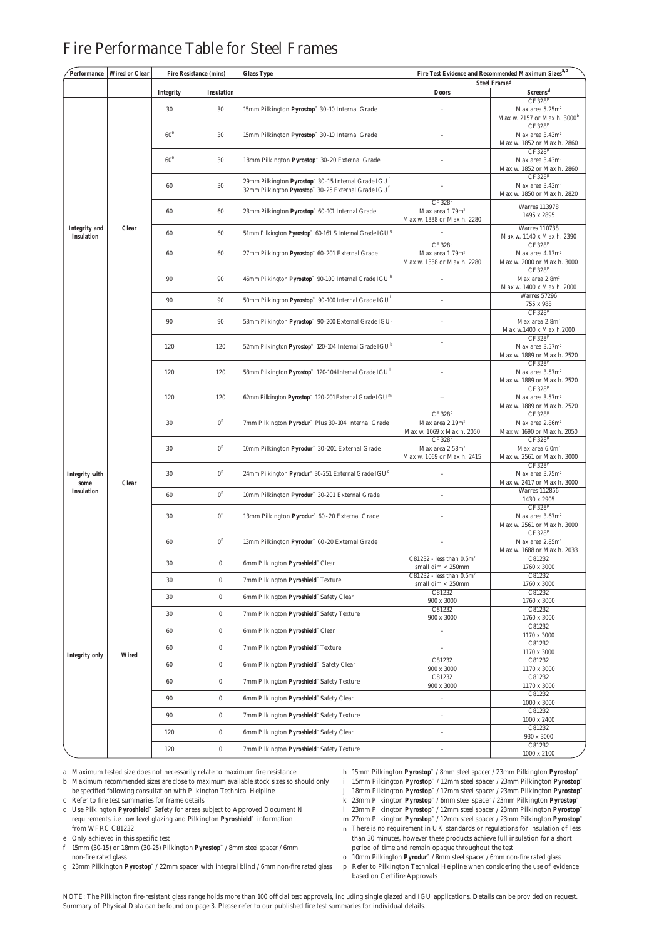| Performance                               | <b>Wired or Clear</b> | <b>Fire Resistance (mins)</b>  |                                                      | <b>Glass Type</b>                                                                                                                              | Fire Test Evidence and Recommended Maximum Sizes $\mathrm{a,b}$                 |                                                                                 |  |  |
|-------------------------------------------|-----------------------|--------------------------------|------------------------------------------------------|------------------------------------------------------------------------------------------------------------------------------------------------|---------------------------------------------------------------------------------|---------------------------------------------------------------------------------|--|--|
|                                           |                       | Integrity<br><b>Insulation</b> |                                                      |                                                                                                                                                | <b>Steel Framed</b><br>Screens <sup>d</sup><br><b>Doors</b>                     |                                                                                 |  |  |
|                                           |                       |                                |                                                      |                                                                                                                                                |                                                                                 | CF328P                                                                          |  |  |
| <b>Integrity</b> and<br><b>Insulation</b> | <b>Clear</b>          | 30                             | 30<br>15mm Pilkington Pyrostop" 30-10 Internal Grade |                                                                                                                                                |                                                                                 | Max area 5.25m <sup>2</sup><br>Max w. 2157 or Max h. 3000 <sup>b</sup>          |  |  |
|                                           |                       | 60 <sup>e</sup>                | 30                                                   | 15mm Pilkington Pyrostop" 30-10 Internal Grade                                                                                                 |                                                                                 | CF328P<br>Max area 3.43m <sup>2</sup><br>Max w. 1852 or Max h. 2860             |  |  |
|                                           |                       | 60 <sup>e</sup>                | 30                                                   | 18mm Pilkington Pyrostop™ 30-20 External Grade                                                                                                 |                                                                                 | CF328 <sup>p</sup><br>Max area 3.43m <sup>2</sup><br>Max w. 1852 or Max h. 2860 |  |  |
|                                           |                       | 60                             | 30                                                   | 29mm Pilkington Pyrostop <sup>®</sup> 30-15 Internal Grade IGU <sup>t</sup><br>32mm Pilkington Pyrostop™ 30-25 External Grade IGU <sup>t</sup> |                                                                                 | CF328 <sup>p</sup><br>Max area 3.43m <sup>2</sup><br>Max w. 1850 or Max h. 2820 |  |  |
|                                           |                       | 60                             | 60                                                   | 23mm Pilkington Pyrostop <sup>™</sup> 60-101 Internal Grade                                                                                    | CF328P<br>Max area 1.79m <sup>2</sup><br>Max w. 1338 or Max h. 2280             | <b>Warres 113978</b><br>1495 x 2895                                             |  |  |
|                                           |                       | 60                             | 60                                                   | 51mm Pilkington Pyrostop <sup>®</sup> 60-161 S Internal Grade IGU <sup>8</sup>                                                                 |                                                                                 | <b>Warres 110738</b><br>Max w. 1140 x Max h. 2390                               |  |  |
|                                           |                       | 60                             | 60                                                   | 27mm Pilkington Pyrostop" 60-201 External Grade                                                                                                | CF328P<br>Max area 1.79m <sup>2</sup><br>Max w. 1338 or Max h. 2280             | CF328 <sup>p</sup><br>Max area 4.13m <sup>2</sup><br>Max w. 2000 or Max h. 3000 |  |  |
|                                           |                       | 90                             | 90                                                   | 46mm Pilkington Pyrostop <sup>36</sup> 90-100 Internal Grade IGU <sup>16</sup>                                                                 |                                                                                 | CF328 <sup>p</sup><br>Max area 2.8m <sup>2</sup><br>Max w. 1400 x Max h. 2000   |  |  |
|                                           |                       | 90                             | 90                                                   | 50mm Pilkington Pyrostop™ 90-100 Internal Grade IGU                                                                                            |                                                                                 | <b>Warres 57296</b><br>755 x 988                                                |  |  |
|                                           |                       | 90                             | 90                                                   | 53mm Pilkington Pyrostop <sup>*</sup> 90-200 External Grade IGU <sup>3</sup>                                                                   |                                                                                 | CF328 <sup>p</sup><br>Max area 2.8m <sup>2</sup><br>Max w.1400 x Max h.2000     |  |  |
|                                           |                       | 120                            | 120                                                  | 52mm Pilkington Pyrostop <sup>*</sup> 120-104 Internal Grade IGU <sup>k</sup>                                                                  |                                                                                 | CF328P<br>Max area 3.57m <sup>2</sup><br>Max w. 1889 or Max h. 2520             |  |  |
|                                           |                       | 120                            | 120                                                  | 58mm Pilkington Pyrostop" 120-104 Internal Grade IGU <sup>1</sup>                                                                              |                                                                                 | CF328 <sup>p</sup><br>Max area 3.57m <sup>2</sup><br>Max w. 1889 or Max h. 2520 |  |  |
|                                           |                       | 120                            | 120                                                  | 62mm Pilkington Pyrostop™ 120-201 External Grade IGU <sup>n</sup>                                                                              |                                                                                 | CF328P<br>Max area $3.57m2$<br>Max w. 1889 or Max h. 2520                       |  |  |
|                                           | <b>Clear</b>          | 30                             | $0^{\rm n}$                                          | 7mm Pilkington Pyrodur <sup>™</sup> Plus 30-104 Internal Grade                                                                                 | CF328 <sup>p</sup><br>Max area 2.19m <sup>2</sup><br>Max w. 1069 x Max h. 2050  | CF328P<br>Max area 2.86m <sup>2</sup><br>Max w. 1690 or Max h. 2050             |  |  |
|                                           |                       | 30                             | $0^{\rm n}$                                          | 10mm Pilkington Pyrodur <sup>™</sup> 30-201 External Grade                                                                                     | CF328 <sup>p</sup><br>Max area 2.58m <sup>2</sup><br>Max w. 1069 or Max h. 2415 | CF328P<br>Max area $6.0m^2$<br>Max w. 2561 or Max h. 3000                       |  |  |
| Integrity with<br>some                    |                       | 30                             | 0 <sup>n</sup>                                       | 24mm Pilkington Pyrodur <sup>™</sup> 30-251 External Grade IGU <sup>o</sup>                                                                    |                                                                                 | CF328P<br>Max area 3.75m <sup>2</sup><br>Max w. 2417 or Max h. 3000             |  |  |
| <b>Insulation</b>                         |                       | 60                             | $0^{\rm n}$                                          | 10mm Pilkington Pyrodur™ 30-201 External Grade                                                                                                 |                                                                                 | <b>Warres 112856</b><br>1430 x 2905                                             |  |  |
|                                           |                       | 30                             | 0 <sup>n</sup>                                       | 13mm Pilkington Pyrodur <sup>™</sup> 60 - 20 External Grade                                                                                    |                                                                                 | CF328P<br>Max area 3.67m <sup>2</sup><br>Max w. 2561 or Max h. 3000             |  |  |
|                                           |                       | 60                             | $0^{\rm n}$                                          | 13mm Pilkington Pyrodur <sup>™</sup> 60-20 External Grade                                                                                      |                                                                                 | CF328P<br>Max area 2.85m <sup>2</sup><br>Max w. 1688 or Max h. 2033             |  |  |
|                                           |                       | 30                             | $\bf{0}$                                             | 6mm Pilkington Pyroshield" Clear                                                                                                               | $C81232$ - less than $0.5m2$<br>small dim $<$ 250mm                             | C81232<br>1760 x 3000                                                           |  |  |
| <b>Integrity only</b>                     | <b>Wired</b>          | 30                             | $\boldsymbol{0}$                                     | 7mm Pilkington Pyroshield" Texture                                                                                                             | C81232 - less than $0.5m^2$<br>small dim $< 250$ mm                             | C81232<br>$1760\ge 3000$                                                        |  |  |
|                                           |                       | 30                             | $\boldsymbol{0}$                                     | 6mm Pilkington Pyroshield" Safety Clear                                                                                                        | C81232<br>900 x 3000                                                            | C81232<br>1760 x 3000                                                           |  |  |
|                                           |                       | 30                             | $\boldsymbol{0}$                                     | 7mm Pilkington Pyroshield™ Safety Texture                                                                                                      | C81232<br>$900 \times 3000$                                                     | C81232<br>1760 x 3000                                                           |  |  |
|                                           |                       | 60                             | $\boldsymbol{0}$                                     | 6mm Pilkington Pyroshield™ Clear                                                                                                               |                                                                                 | C81232<br>1170 x 3000                                                           |  |  |
|                                           |                       | 60                             | $\pmb{0}$                                            | 7mm Pilkington Pyroshield™Texture                                                                                                              | $\overline{\phantom{0}}$                                                        | C81232<br>$1170 \times 3000$                                                    |  |  |
|                                           |                       | 60                             | $\boldsymbol{0}$                                     | 6mm Pilkington Pyroshield" Safety Clear                                                                                                        | C81232<br>900 x 3000                                                            | C81232<br>1170 x 3000                                                           |  |  |
|                                           |                       | 60                             | $\boldsymbol{0}$                                     | 7mm Pilkington Pyroshield" Safety Texture                                                                                                      | C81232<br>$900 \times 3000$                                                     | C81232<br>1170 x 3000                                                           |  |  |
|                                           |                       | 90                             | $\boldsymbol{0}$                                     | 6mm Pilkington Pyroshield" Safety Clear                                                                                                        | $\qquad \qquad -$                                                               | C81232<br>1000 x 3000                                                           |  |  |
|                                           |                       | 90                             | $\boldsymbol{0}$                                     | 7mm Pilkington Pyroshield" Safety Texture                                                                                                      | $\overline{a}$                                                                  | C81232<br>$1000 \times 2400$                                                    |  |  |
|                                           |                       | 120                            | $\boldsymbol{0}$                                     | 6mm Pilkington Pyroshield" Safety Clear                                                                                                        | $\overline{a}$                                                                  | C81232<br>930 x 3000                                                            |  |  |
|                                           |                       | 120                            | $\boldsymbol{0}$                                     | 7mm Pilkington Pyroshield" Safety Texture                                                                                                      | $\overline{\phantom{0}}$                                                        | C81232<br>$1000 \times 2100$                                                    |  |  |

### Fire Performance Table for Steel Frames

a Maximum tested size does not necessarily relate to maximum fire resistance

b Maximum recommended sizes are close to maximum available stock sizes so should only be specified following consultation with Pilkington Technical Helpline

c Refer to fire test summaries for frame details

d Use Pilkington **Pyroshield™** Safety for areas subject to Approved Document N requirements. i.e. low level glazing and Pilkington **Pyroshield™** information from WFRC C81232

e Only achieved in this specific test

f 15mm (30-15) or 18mm (30-25) Pilkington **Pyrostop™** / 8mm steel spacer / 6mm non-fire rated glass

g 23mm Pilkington **Pyrostop™** / 22mm spacer with integral blind / 6mm non-fire rated glass

h 15mm Pilkington **Pyrostop™** / 8mm steel spacer / 23mm Pilkington **Pyrostop™**

i 15mm Pilkington **Pyrostop™** / 12mm steel spacer / 23mm Pilkington **Pyrostop™**

j 18mm Pilkington **Pyrostop™** / 12mm steel spacer / 23mm Pilkington **Pyrostop™**

k 23mm Pilkington **Pyrostop™** / 6mm steel spacer / 23mm Pilkington **Pyrostop™**

l 23mm Pilkington **Pyrostop™** / 12mm steel spacer / 23mm Pilkington **Pyrostop™**

m 27mm Pilkington **Pyrostop™** / 12mm steel spacer / 23mm Pilkington **Pyrostop™**

n There is no requirement in UK standards or regulations for insulation of less than 30 minutes, however these products achieve full insulation for a short period of time and remain opaque throughout the test

o 10mm Pilkington **Pyrodur™** / 8mm steel spacer / 6mm non-fire rated glass

p Refer to Pilkington Technical Helpline when considering the use of evidence based on Certifire Approvals

NOTE: The Pilkington fire-resistant glass range holds more than 100 official test approvals, including single glazed and IGU applications. Details can be provided on request. Summary of Physical Data can be found on page 3. Please refer to our published fire test summaries for individual details.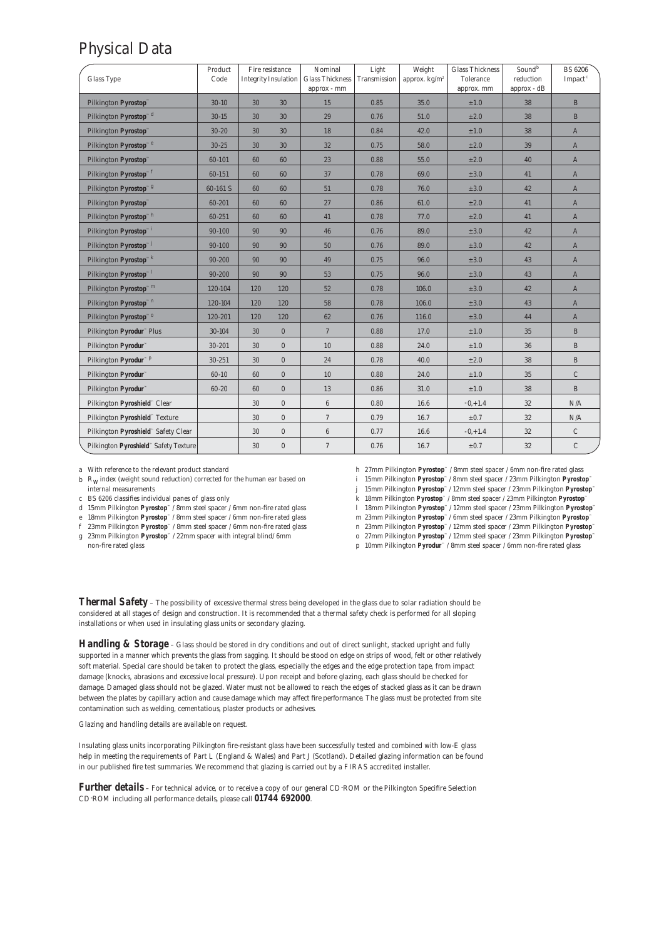### Physical Data

| <b>Glass Type</b>                                     | Product<br>Code |     | Fire resistance<br><b>Integrity Insulation</b> | Nominal<br><b>Glass Thickness</b> | Light<br>Transmission | Weight<br>approx. $kg/m^2$ | <b>Glass Thickness</b><br>Tolerance | Soundb<br>reduction | <b>BS 6206</b><br>$Im$ pact $c$ |
|-------------------------------------------------------|-----------------|-----|------------------------------------------------|-----------------------------------|-----------------------|----------------------------|-------------------------------------|---------------------|---------------------------------|
|                                                       |                 |     |                                                | approx - mm                       |                       |                            | approx. mm                          | approx - dB         |                                 |
| Pilkington Pyrostop™                                  | $30 - 10$       | 30  | 30                                             | 15                                | 0.85                  | 35.0                       | ±1.0                                | 38                  | $\mathbf{B}$                    |
| Pilkington Pyrostop <sup>10</sup>                     | $30 - 15$       | 30  | 30                                             | 29                                | 0.76                  | 51.0                       | $\pm 2.0$                           | 38                  | $\mathbf{B}$                    |
| Pilkington Pyrostop <sup>11</sup>                     | $30 - 20$       | 30  | 30                                             | 18                                | 0.84                  | 42.0                       | ±1.0                                | 38                  | $\mathbf{A}$                    |
| Pilkington Pyrostop <sup>™e</sup>                     | $30 - 25$       | 30  | 30                                             | 32                                | 0.75                  | 58.0                       | ±2.0                                | 39                  | $\mathbf{A}$                    |
| Pilkington Pyrostop™                                  | $60 - 101$      | 60  | 60                                             | 23                                | 0.88                  | 55.0                       | $\pm 2.0$                           | 40                  | $\mathbf{A}$                    |
| Pilkington Pyrostop <sup>"f</sup>                     | 60-151          | 60  | 60                                             | 37                                | 0.78                  | 69.0                       | $\pm 3.0$                           | 41                  | $\mathbf{A}$                    |
| Pilkington Pyrostop <sup>™ g</sup>                    | 60-161 S        | 60  | 60                                             | 51                                | 0.78                  | 76.0                       | $\pm 3.0$                           | 42                  | $\mathbf{A}$                    |
| Pilkington Pyrostop™                                  | 60-201          | 60  | 60                                             | 27                                | 0.86                  | 61.0                       | $\pm 2.0$                           | 41                  | $\mathbf{A}$                    |
| Pilkington Pyrostop <sup>11</sup>                     | 60-251          | 60  | 60                                             | 41                                | 0.78                  | 77.0                       | $\pm 2.0$                           | 41                  | $\mathbf{A}$                    |
| Pilkington Pyrostop <sup>"</sup>                      | $90 - 100$      | 90  | 90                                             | 46                                | 0.76                  | 89.0                       | $\pm 3.0$                           | 42                  | $\mathbf{A}$                    |
| Pilkington Pyrostop <sup>™j</sup>                     | $90 - 100$      | 90  | 90                                             | 50                                | 0.76                  | 89.0                       | $\pm 3.0$                           | 42                  | $\mathbf{A}$                    |
| Pilkington <b>Pyrostop</b> <sup>™k</sup>              | $90 - 200$      | 90  | 90                                             | 49                                | 0.75                  | 96.0                       | $\pm 3.0$                           | 43                  | $\mathbf{A}$                    |
| Pilkington <b>Pyrostop</b> <sup>™</sup>               | $90 - 200$      | 90  | 90                                             | 53                                | 0.75                  | 96.0                       | $\pm 3.0$                           | 43                  | $\mathbf{A}$                    |
| Pilkington Pyrostop <sup>"</sup> m                    | 120-104         | 120 | 120                                            | 52                                | 0.78                  | 106.0                      | $\pm 3.0$                           | 42                  | $\mathbf{A}$                    |
| Pilkington Pyrostop <sup>™ n</sup>                    | 120-104         | 120 | 120                                            | 58                                | 0.78                  | 106.0                      | $\pm 3.0$                           | 43                  | $\overline{A}$                  |
| Pilkington <b>Pyrostop</b> <sup>™ o</sup>             | 120-201         | 120 | 120                                            | 62                                | 0.76                  | 116.0                      | $\pm 3.0$                           | 44                  | $\mathbf{A}$                    |
| Pilkington Pyrodur <sup>™</sup> Plus                  | $30 - 104$      | 30  | $\mathbf{0}$                                   | $7\overline{ }$                   | 0.88                  | 17.0                       | ±1.0                                | 35                  | $\mathbf{B}$                    |
| Pilkington Pyrodur™                                   | $30 - 201$      | 30  | $\mathbf{0}$                                   | 10                                | 0.88                  | 24.0                       | ±1.0                                | 36                  | $\mathbf{B}$                    |
| Pilkington <b>Pyrodur</b> <sup><math>n</math></sup> P | 30-251          | 30  | $\mathbf{0}$                                   | 24                                | 0.78                  | 40.0                       | $\pm 2.0$                           | 38                  | $\mathbf{B}$                    |
| Pilkington <b>Pyrodur</b> ™                           | $60 - 10$       | 60  | $\bf{0}$                                       | 10                                | 0.88                  | 24.0                       | ±1.0                                | 35                  | $\mathbf C$                     |
| Pilkington Pyrodur™                                   | $60 - 20$       | 60  | $\mathbf{0}$                                   | 13                                | 0.86                  | 31.0                       | $\pm 1.0$                           | 38                  | $\mathbf{B}$                    |
| Pilkington Pyroshield" Clear                          |                 | 30  | $\mathbf{0}$                                   | 6                                 | 0.80                  | 16.6                       | $-0,+1.4$                           | 32                  | N/A                             |
| Pilkington Pyroshield™ Texture                        |                 | 30  | $\mathbf{0}$                                   | $\tau$                            | 0.79                  | 16.7                       | $\pm 0.7$                           | 32                  | N/A                             |
| Pilkington Pyroshield" Safety Clear                   |                 | 30  | $\bf{0}$                                       | $6\phantom{.0}$                   | 0.77                  | 16.6                       | $-0,+1.4$                           | 32                  | $\mathbf C$                     |
| Pilkington Pyroshield <sup>®</sup> Safety Texture     |                 | 30  | $\bf{0}$                                       | $\mathbf{7}$                      | 0.76                  | 16.7                       | $\pm 0.7$                           | 32                  | $\mathsf{C}$                    |

a With reference to the relevant product standard

 $b$  R<sub>w</sub> index (weight sound reduction) corrected for the human ear based on internal measurements

c BS 6206 classifies individual panes of glass only

d 15mm Pilkington **Pyrostop**™ / 8mm steel spacer / 6mm non-fire rated glass

e 18mm Pilkington **Pyrostop**™ / 8mm steel spacer / 6mm non-fire rated glass

f 23mm Pilkington **Pyrostop**™ / 8mm steel spacer / 6mm non-fire rated glass

g 23mm Pilkington **Pyrostop**™ / 22mm spacer with integral blind/ 6mm

non-fire rated glass

h 27mm Pilkington **Pyrostop**™ / 8mm steel spacer / 6mm non-fire rated glass i 15mm Pilkington **Pyrostop**™ / 8mm steel spacer / 23mm Pilkington **Pyrostop**™

j 15mm Pilkington **Pyrostop**™ / 12mm steel spacer / 23mm Pilkington **Pyrostop**™

k 18mm Pilkington **Pyrostop**™ / 8mm steel spacer / 23mm Pilkington **Pyrostop**™

l 18mm Pilkington **Pyrostop**™ / 12mm steel spacer / 23mm Pilkington **Pyrostop**™

m 23mm Pilkington **Pyrostop**™ / 6mm steel spacer / 23mm Pilkington **Pyrostop**™

n 23mm Pilkington **Pyrostop**™ / 12mm steel spacer / 23mm Pilkington **Pyrostop**™

o 27mm Pilkington **Pyrostop**™ / 12mm steel spacer / 23mm Pilkington **Pyrostop**™

p 10mm Pilkington **Pyrodur**™ / 8mm steel spacer / 6mm non-fire rated glass

**Thermal Safety** – The possibility of excessive thermal stress being developed in the glass due to solar radiation should be considered at all stages of design and construction. It is recommended that a thermal safety check is performed for all sloping installations or when used in insulating glass units or secondary glazing.

**Handling & Storage** – Glass should be stored in dry conditions and out of direct sunlight, stacked upright and fully supported in a manner which prevents the glass from sagging. It should be stood on edge on strips of wood, felt or other relatively soft material. Special care should be taken to protect the glass, especially the edges and the edge protection tape, from impact damage (knocks, abrasions and excessive local pressure). Upon receipt and before glazing, each glass should be checked for damage. Damaged glass should not be glazed. Water must not be allowed to reach the edges of stacked glass as it can be drawn between the plates by capillary action and cause damage which may affect fire performance. The glass must be protected from site contamination such as welding, cementatious, plaster products or adhesives.

Glazing and handling details are available on request.

Insulating glass units incorporating Pilkington fire-resistant glass have been successfully tested and combined with low-E glass help in meeting the requirements of Part L (England & Wales) and Part J (Scotland). Detailed glazing information can be found in our published fire test summaries. We recommend that glazing is carried out by a FIRAS accredited installer.

**Further details** – For technical advice, or to receive a copy of our general CD-ROM or the Pilkington Specifire Selection CD-ROM including all performance details, please call **01744 692000**.